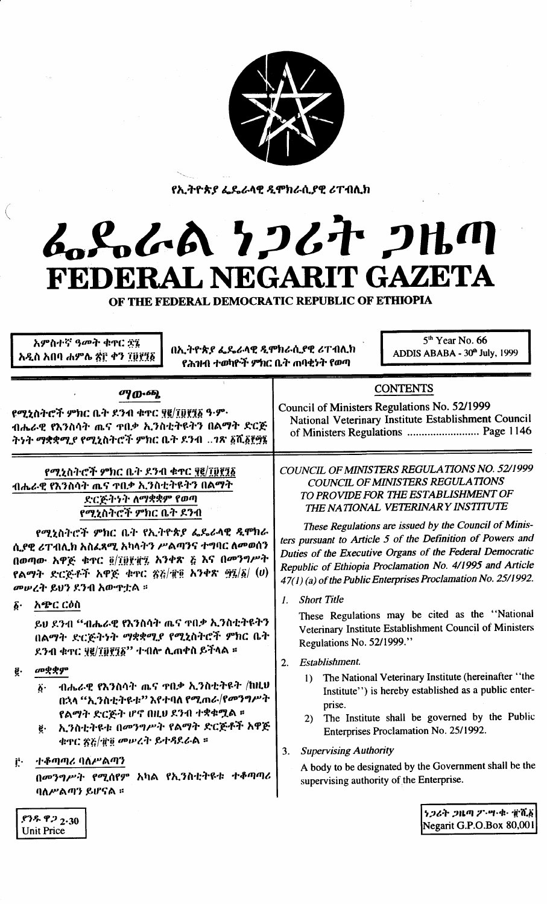

የኢትዮጵያ ፌዴራላዊ ዲሞክራሲያዊ ሪፐብሊክ

# ムパルイム 1267 2HM FEDERAL NEGARIT GAZETA

OF THE FEDERAL DEMOCRATIC REPUBLIC OF ETHIOPIA

| $5th$ Year No. 66<br>አምስተኛ ዓመት ቁዋር ፳፯<br>በኢትዮጵያ ፌዴራላዊ ዲሞክራሲያዊ ሪፐብሊክ<br>ADDIS ABABA - 30th July, 1999<br>አዲስ አበባ ሐምሌ ፳፫ ቀን ፲፱፻፺፩<br>የሕዝብ ተወካዮች ምክር ቤት ጠባቂነት የወጣ |                                                               |
|----------------------------------------------------------------------------------------------------------------------------------------------------------------|---------------------------------------------------------------|
| ማውጫ                                                                                                                                                            | <b>CONTENTS</b>                                               |
| የሚኒስትሮች ምክር ቤት ደንብ ቁተር ፶፪/፲፬፻፺፩ ዓ·ም·                                                                                                                           | Council of Ministers Regulations No. 52/1999                  |
| ብሔራዊ የእንስሳት ጤና ዋቢቃ ኢንስቲትዩትን በልማት ድርጅ                                                                                                                           | National Veterinary Institute Establishment Council           |
| ትነት ማቋቋሚያ የሚኒስትሮች ምክር ቤት ደንብ ንጽ ፩ሺ፩፻፵፮                                                                                                                         | of Ministers Regulations  Page 1146                           |
| የሚኒስትሮች ምክር ቤት ደንብ ቁተር ፶፪/፲፬፻፺፩                                                                                                                                | COUNCIL OF MINISTERS REGULATIONS NO. 52/1999                  |
| ብሔራዊ የእንስሳት ጤና ዋቢቃ ኢንስቲትዩትን በልማት                                                                                                                               | COUNCIL OF MINISTERS REGULATIONS                              |
| ድርጅትንት ለማቋቋም የወጣ                                                                                                                                               | TO PROVIDE FOR THE ESTABLISHMENT OF                           |
| የሚኒስትሮች ምክር ቤት ደንብ                                                                                                                                             | THE NATIONAL VETERINARY INSTITUTE                             |
| የሚኒስትሮች ምክር ቤት የኢትዮጵያ ፌዴራላዊ ዲሞክራ                                                                                                                               | These Regulations are issued by the Council of Minis-         |
| ሲያዊ ሪፐብሊክ አስፌጻሚ አካላትን ሥልጣንና ተግባር ለመወሰን                                                                                                                         | ters pursuant to Article 5 of the Definition of Powers and    |
| በወጣው አዋጅ ቁጥር ፬/፲፱፻፹፯ አንቀጽ ፭ እና በመንግሥት                                                                                                                          | Duties of the Executive Organs of the Federal Democratic      |
| የልማት ድርጅቶች አዋጅ ቁዋር ፳፭/፹፬ አንቀጽ ፵፯/፩/ $(v)$                                                                                                                      | Republic of Ethiopia Proclamation No. 4/1995 and Article      |
| መሠረት ይህን ደንብ አውዋቷል ።                                                                                                                                           | 47(1) (a) of the Public Enterprises Proclamation No. 25/1992. |
| አጭር ርዕስ                                                                                                                                                        | <b>Short Title</b>                                            |
| $\boldsymbol{\hat{b}}$ .                                                                                                                                       | $\mathcal{L}$                                                 |
| ይህ ደንብ ''ብሔራዊ የእንስሳት ጨና ዋበቃ ኢንስቲትዩትን                                                                                                                           | These Regulations may be cited as the "National               |
| በልማት ድርጅትነት ማቋቋሚያ የሚኒስትሮች ምክር ቤት                                                                                                                               | Veterinary Institute Establishment Council of Ministers       |
| ደንብ ቁዋር ፶፪/፲፬፻፺፩'' ተብሎ ሲጠቀስ ይችላል ።                                                                                                                             | Regulations No. 52/1999."                                     |
| መቋቋም                                                                                                                                                           | Establishment.                                                |
| ĝ.                                                                                                                                                             | 2.                                                            |
| ብሔራዊ የእንስሳት ጤና ዋበቃ ኢንስቲትዩት /ከዚህ                                                                                                                                | The National Veterinary Institute (hereinafter "the           |
| $\ddot{\bm{b}}$ .                                                                                                                                              | $\left  \right $                                              |
| በኋላ ''ኢንስቲትዩቱ'' እየተባለ የሚጠራ/የመንግሥት                                                                                                                              | Institute") is hereby established as a public enter-          |
| የልማት ድርጅት ሆኖ በዚህ ደንብ ተቋቁሟል ።                                                                                                                                   | prise.                                                        |
| ኢንስቲትዩቱ በመንግሥት የልማት ድርጅቶች አዋጅ                                                                                                                                  | The Institute shall be governed by the Public                 |
| ë.                                                                                                                                                             | 2)                                                            |
| ቁጥር ጽሯ/፹፬ መሠረት ይተዳደራል ።                                                                                                                                        | Enterprises Proclamation No. 25/1992.                         |
| ተቆጣጣሪ ባለሥልጣን                                                                                                                                                   | <b>Supervising Authority</b>                                  |
| Ë٠                                                                                                                                                             | 3.                                                            |
| በመንግሥት የሚሰየም አካል የኢንስቲትዩቱ ተቆጣጣሪ                                                                                                                                | A body to be designated by the Government shall be the        |
| ባለሥልጣን ይሆናል ፡፡                                                                                                                                                 | supervising authority of the Enterprise.                      |
| $$75~$ $$72.30$                                                                                                                                                | うつるヤ クルの ク・ツ・ヰ・ 煎がる                                           |
| <b>Unit Price</b>                                                                                                                                              | Negarit G.P.O.Box 80,001                                      |